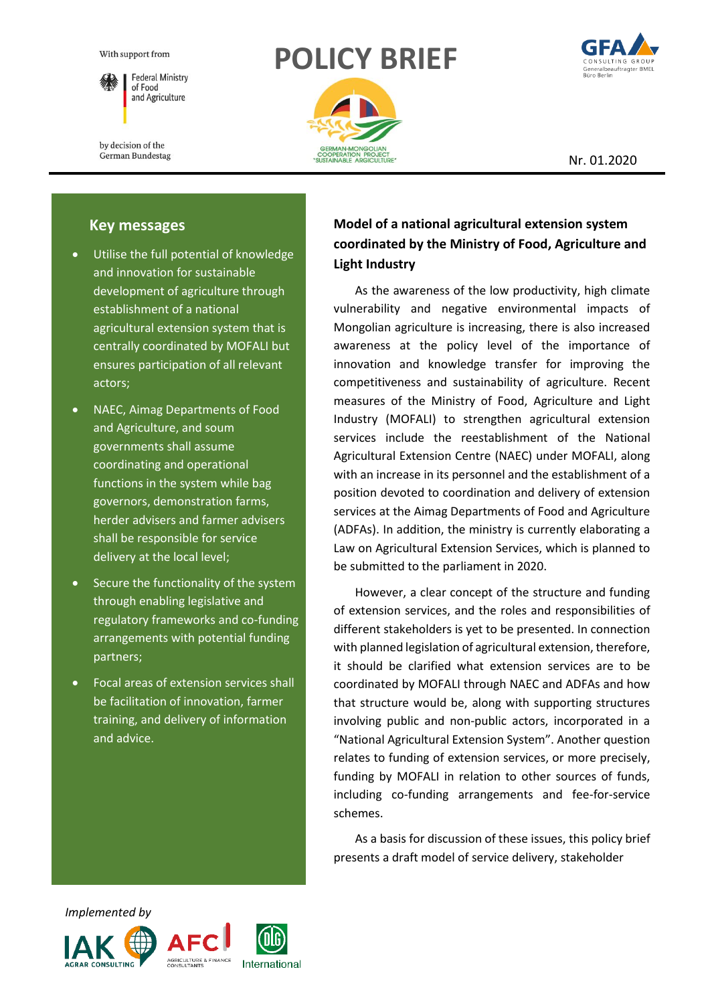

**Federal Ministry** of Food and Agriculture

by decision of the German Bundestag

# **POLICY BRIEF**



Nr. 01.2020

## **Key messages**

- Utilise the full potential of knowledge and innovation for sustainable development of agriculture through establishment of a national agricultural extension system that is centrally coordinated by MOFALI but ensures participation of all relevant actors;
- NAEC, Aimag Departments of Food and Agriculture, and soum governments shall assume coordinating and operational functions in the system while bag governors, demonstration farms, herder advisers and farmer advisers shall be responsible for service delivery at the local level;
- Secure the functionality of the system through enabling legislative and regulatory frameworks and co-funding arrangements with potential funding partners;
- Focal areas of extension services shall be facilitation of innovation, farmer training, and delivery of information and advice.

## **Model of a national agricultural extension system coordinated by the Ministry of Food, Agriculture and Light Industry**

As the awareness of the low productivity, high climate vulnerability and negative environmental impacts of Mongolian agriculture is increasing, there is also increased awareness at the policy level of the importance of innovation and knowledge transfer for improving the competitiveness and sustainability of agriculture. Recent measures of the Ministry of Food, Agriculture and Light Industry (MOFALI) to strengthen agricultural extension services include the reestablishment of the National Agricultural Extension Centre (NAEC) under MOFALI, along with an increase in its personnel and the establishment of a position devoted to coordination and delivery of extension services at the Aimag Departments of Food and Agriculture (ADFAs). In addition, the ministry is currently elaborating a Law on Agricultural Extension Services, which is planned to be submitted to the parliament in 2020.

However, a clear concept of the structure and funding of extension services, and the roles and responsibilities of different stakeholders is yet to be presented. In connection with planned legislation of agricultural extension, therefore, it should be clarified what extension services are to be coordinated by MOFALI through NAEC and ADFAs and how that structure would be, along with supporting structures involving public and non‐public actors, incorporated in a "National Agricultural Extension System". Another question relates to funding of extension services, or more precisely, funding by MOFALI in relation to other sources of funds, including co-funding arrangements and fee-for-service schemes.

As a basis for discussion of these issues, this policy brief presents a draft model of service delivery, stakeholder

 *Implemented by*





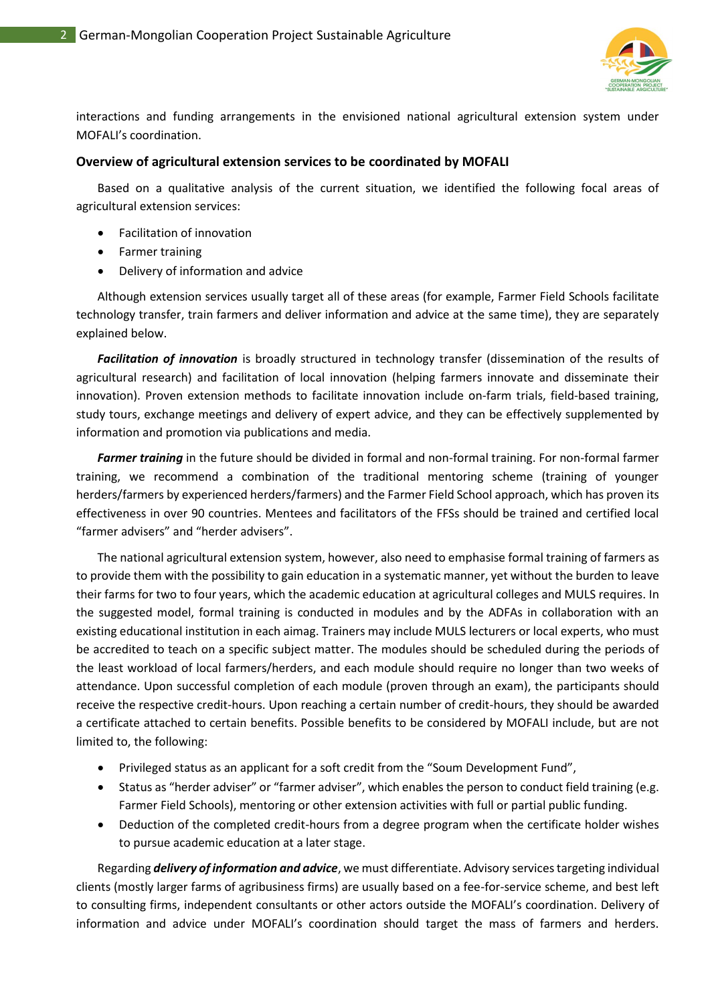

interactions and funding arrangements in the envisioned national agricultural extension system under MOFALI's coordination.

#### **Overview of agricultural extension services to be coordinated by MOFALI**

Based on a qualitative analysis of the current situation, we identified the following focal areas of agricultural extension services:

- Facilitation of innovation
- Farmer training
- Delivery of information and advice

Although extension services usually target all of these areas (for example, Farmer Field Schools facilitate technology transfer, train farmers and deliver information and advice at the same time), they are separately explained below.

*Facilitation of innovation* is broadly structured in technology transfer (dissemination of the results of agricultural research) and facilitation of local innovation (helping farmers innovate and disseminate their innovation). Proven extension methods to facilitate innovation include on-farm trials, field-based training, study tours, exchange meetings and delivery of expert advice, and they can be effectively supplemented by information and promotion via publications and media.

*Farmer training* in the future should be divided in formal and non-formal training. For non-formal farmer training, we recommend a combination of the traditional mentoring scheme (training of younger herders/farmers by experienced herders/farmers) and the Farmer Field School approach, which has proven its effectiveness in over 90 countries. Mentees and facilitators of the FFSs should be trained and certified local "farmer advisers" and "herder advisers".

The national agricultural extension system, however, also need to emphasise formal training of farmers as to provide them with the possibility to gain education in a systematic manner, yet without the burden to leave their farms for two to four years, which the academic education at agricultural colleges and MULS requires. In the suggested model, formal training is conducted in modules and by the ADFAs in collaboration with an existing educational institution in each aimag. Trainers may include MULS lecturers or local experts, who must be accredited to teach on a specific subject matter. The modules should be scheduled during the periods of the least workload of local farmers/herders, and each module should require no longer than two weeks of attendance. Upon successful completion of each module (proven through an exam), the participants should receive the respective credit-hours. Upon reaching a certain number of credit-hours, they should be awarded a certificate attached to certain benefits. Possible benefits to be considered by MOFALI include, but are not limited to, the following:

- Privileged status as an applicant for a soft credit from the "Soum Development Fund",
- Status as "herder adviser" or "farmer adviser", which enables the person to conduct field training (e.g. Farmer Field Schools), mentoring or other extension activities with full or partial public funding.
- Deduction of the completed credit-hours from a degree program when the certificate holder wishes to pursue academic education at a later stage.

Regarding *delivery of information and advice*, we must differentiate. Advisory services targeting individual clients (mostly larger farms of agribusiness firms) are usually based on a fee-for-service scheme, and best left to consulting firms, independent consultants or other actors outside the MOFALI's coordination. Delivery of information and advice under MOFALI's coordination should target the mass of farmers and herders.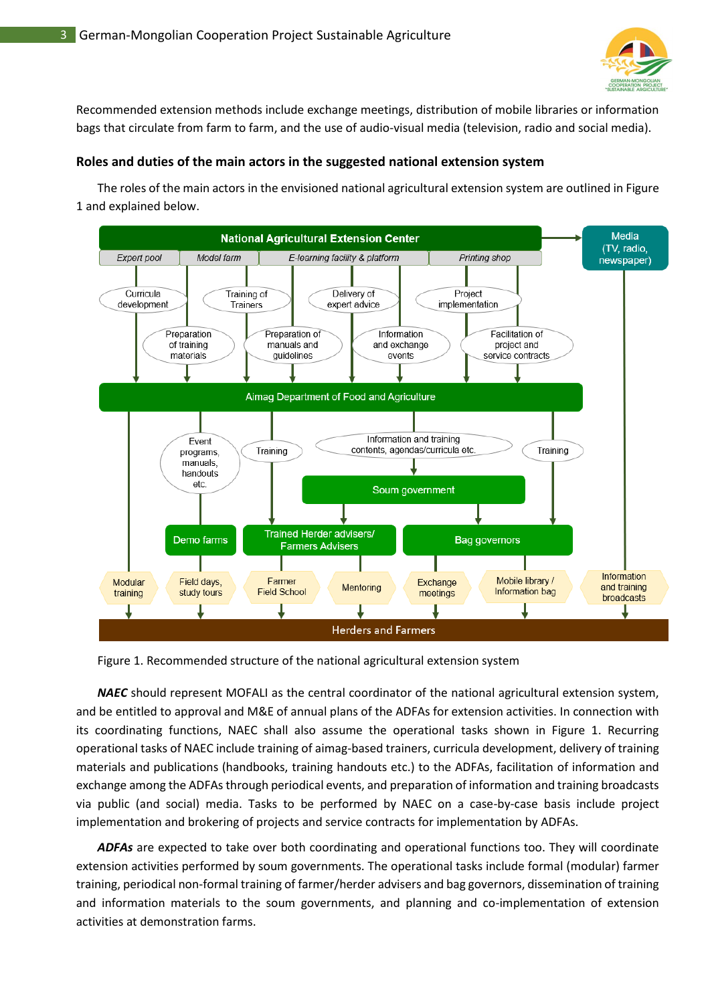

Recommended extension methods include exchange meetings, distribution of mobile libraries or information bags that circulate from farm to farm, and the use of audio-visual media (television, radio and social media).

#### **Roles and duties of the main actors in the suggested national extension system**

The roles of the main actors in the envisioned national agricultural extension system are outlined in Figure 1 and explained below.



Figure 1. Recommended structure of the national agricultural extension system

*NAEC* should represent MOFALI as the central coordinator of the national agricultural extension system, and be entitled to approval and M&E of annual plans of the ADFAs for extension activities. In connection with its coordinating functions, NAEC shall also assume the operational tasks shown in Figure 1. Recurring operational tasks of NAEC include training of aimag-based trainers, curricula development, delivery of training materials and publications (handbooks, training handouts etc.) to the ADFAs, facilitation of information and exchange among the ADFAs through periodical events, and preparation of information and training broadcasts via public (and social) media. Tasks to be performed by NAEC on a case-by-case basis include project implementation and brokering of projects and service contracts for implementation by ADFAs.

ADFAs are expected to take over both coordinating and operational functions too. They will coordinate extension activities performed by soum governments. The operational tasks include formal (modular) farmer training, periodical non-formal training of farmer/herder advisers and bag governors, dissemination of training and information materials to the soum governments, and planning and co-implementation of extension activities at demonstration farms.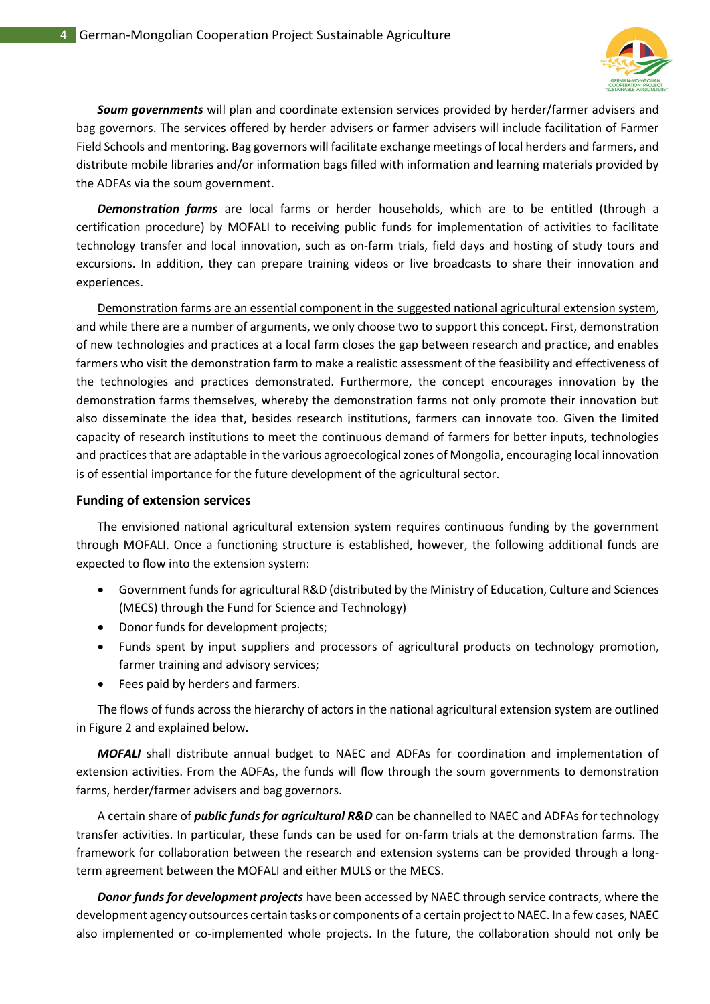

*Soum governments* will plan and coordinate extension services provided by herder/farmer advisers and bag governors. The services offered by herder advisers or farmer advisers will include facilitation of Farmer Field Schools and mentoring. Bag governors will facilitate exchange meetings of local herders and farmers, and distribute mobile libraries and/or information bags filled with information and learning materials provided by the ADFAs via the soum government.

*Demonstration farms* are local farms or herder households, which are to be entitled (through a certification procedure) by MOFALI to receiving public funds for implementation of activities to facilitate technology transfer and local innovation, such as on-farm trials, field days and hosting of study tours and excursions. In addition, they can prepare training videos or live broadcasts to share their innovation and experiences.

Demonstration farms are an essential component in the suggested national agricultural extension system, and while there are a number of arguments, we only choose two to support this concept. First, demonstration of new technologies and practices at a local farm closes the gap between research and practice, and enables farmers who visit the demonstration farm to make a realistic assessment of the feasibility and effectiveness of the technologies and practices demonstrated. Furthermore, the concept encourages innovation by the demonstration farms themselves, whereby the demonstration farms not only promote their innovation but also disseminate the idea that, besides research institutions, farmers can innovate too. Given the limited capacity of research institutions to meet the continuous demand of farmers for better inputs, technologies and practices that are adaptable in the various agroecological zones of Mongolia, encouraging local innovation is of essential importance for the future development of the agricultural sector.

#### **Funding of extension services**

The envisioned national agricultural extension system requires continuous funding by the government through MOFALI. Once a functioning structure is established, however, the following additional funds are expected to flow into the extension system:

- Government funds for agricultural R&D (distributed by the Ministry of Education, Culture and Sciences (MECS) through the Fund for Science and Technology)
- Donor funds for development projects;
- Funds spent by input suppliers and processors of agricultural products on technology promotion, farmer training and advisory services;
- Fees paid by herders and farmers.

The flows of funds across the hierarchy of actors in the national agricultural extension system are outlined in Figure 2 and explained below.

*MOFALI* shall distribute annual budget to NAEC and ADFAs for coordination and implementation of extension activities. From the ADFAs, the funds will flow through the soum governments to demonstration farms, herder/farmer advisers and bag governors.

A certain share of *public funds for agricultural R&D* can be channelled to NAEC and ADFAs for technology transfer activities. In particular, these funds can be used for on-farm trials at the demonstration farms. The framework for collaboration between the research and extension systems can be provided through a longterm agreement between the MOFALI and either MULS or the MECS.

*Donor funds for development projects* have been accessed by NAEC through service contracts, where the development agency outsources certain tasks or components of a certain project to NAEC. In a few cases, NAEC also implemented or co-implemented whole projects. In the future, the collaboration should not only be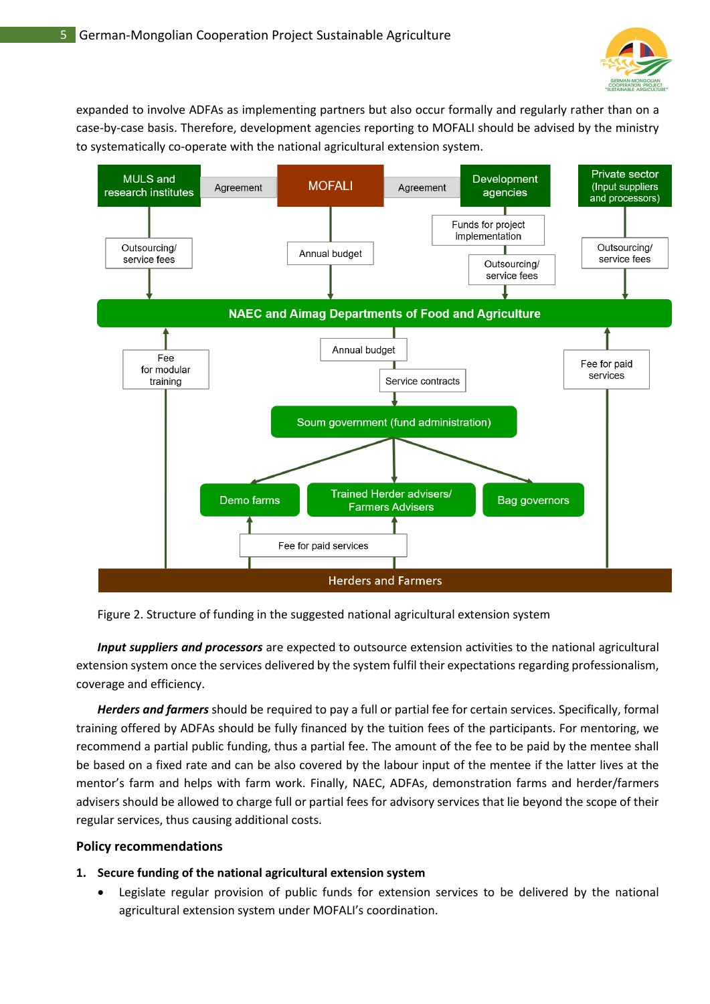

expanded to involve ADFAs as implementing partners but also occur formally and regularly rather than on a case-by-case basis. Therefore, development agencies reporting to MOFALI should be advised by the ministry to systematically co-operate with the national agricultural extension system.



#### Figure 2. Structure of funding in the suggested national agricultural extension system

*Input suppliers and processors* are expected to outsource extension activities to the national agricultural extension system once the services delivered by the system fulfil their expectations regarding professionalism, coverage and efficiency.

*Herders and farmers* should be required to pay a full or partial fee for certain services. Specifically, formal training offered by ADFAs should be fully financed by the tuition fees of the participants. For mentoring, we recommend a partial public funding, thus a partial fee. The amount of the fee to be paid by the mentee shall be based on a fixed rate and can be also covered by the labour input of the mentee if the latter lives at the mentor's farm and helps with farm work. Finally, NAEC, ADFAs, demonstration farms and herder/farmers advisers should be allowed to charge full or partial fees for advisory services that lie beyond the scope of their regular services, thus causing additional costs.

#### **Policy recommendations**

#### **1. Secure funding of the national agricultural extension system**

• Legislate regular provision of public funds for extension services to be delivered by the national agricultural extension system under MOFALI's coordination.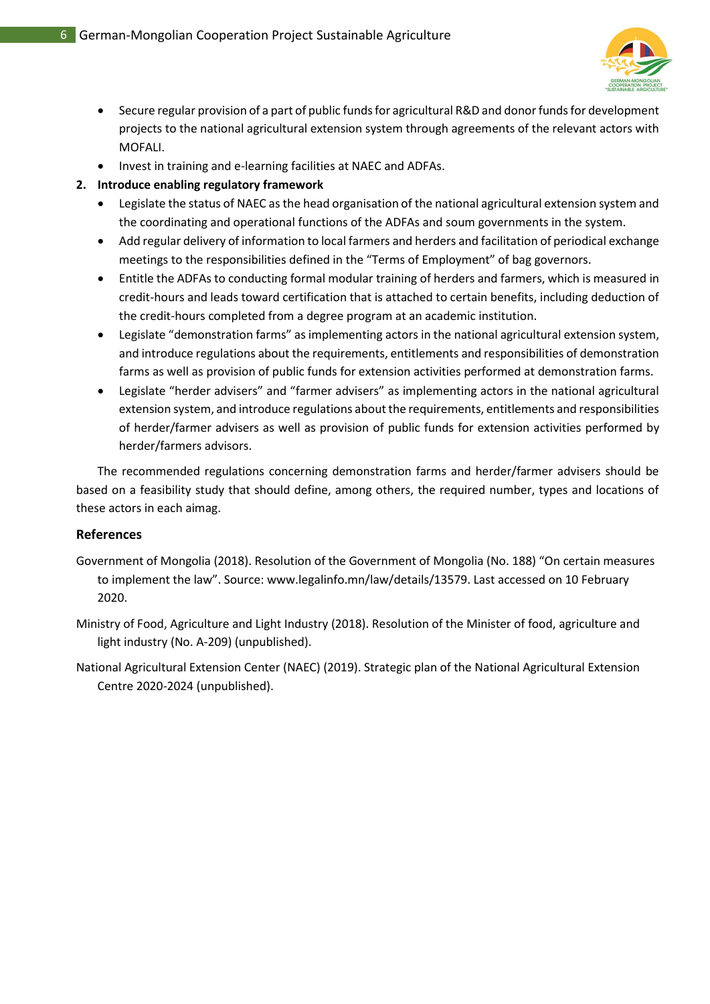

- Secure regular provision of a part of public funds for agricultural R&D and donor funds for development projects to the national agricultural extension system through agreements of the relevant actors with MOFALI.
- Invest in training and e-learning facilities at NAEC and ADFAs.

## **2. Introduce enabling regulatory framework**

- Legislate the status of NAEC as the head organisation of the national agricultural extension system and the coordinating and operational functions of the ADFAs and soum governments in the system.
- Add regular delivery of information to local farmers and herders and facilitation of periodical exchange meetings to the responsibilities defined in the "Terms of Employment" of bag governors.
- Entitle the ADFAs to conducting formal modular training of herders and farmers, which is measured in credit-hours and leads toward certification that is attached to certain benefits, including deduction of the credit-hours completed from a degree program at an academic institution.
- Legislate "demonstration farms" as implementing actors in the national agricultural extension system, and introduce regulations about the requirements, entitlements and responsibilities of demonstration farms as well as provision of public funds for extension activities performed at demonstration farms.
- Legislate "herder advisers" and "farmer advisers" as implementing actors in the national agricultural extension system, and introduce regulations about the requirements, entitlements and responsibilities of herder/farmer advisers as well as provision of public funds for extension activities performed by herder/farmers advisors.

The recommended regulations concerning demonstration farms and herder/farmer advisers should be based on a feasibility study that should define, among others, the required number, types and locations of these actors in each aimag.

## **References**

- Government of Mongolia (2018). Resolution of the Government of Mongolia (No. 188) "On certain measures to implement the law". Source: www.legalinfo.mn/law/details/13579. Last accessed on 10 February 2020.
- Ministry of Food, Agriculture and Light Industry (2018). Resolution of the Minister of food, agriculture and light industry (No. A-209) (unpublished).
- National Agricultural Extension Center (NAEC) (2019). Strategic plan of the National Agricultural Extension Centre 2020-2024 (unpublished).